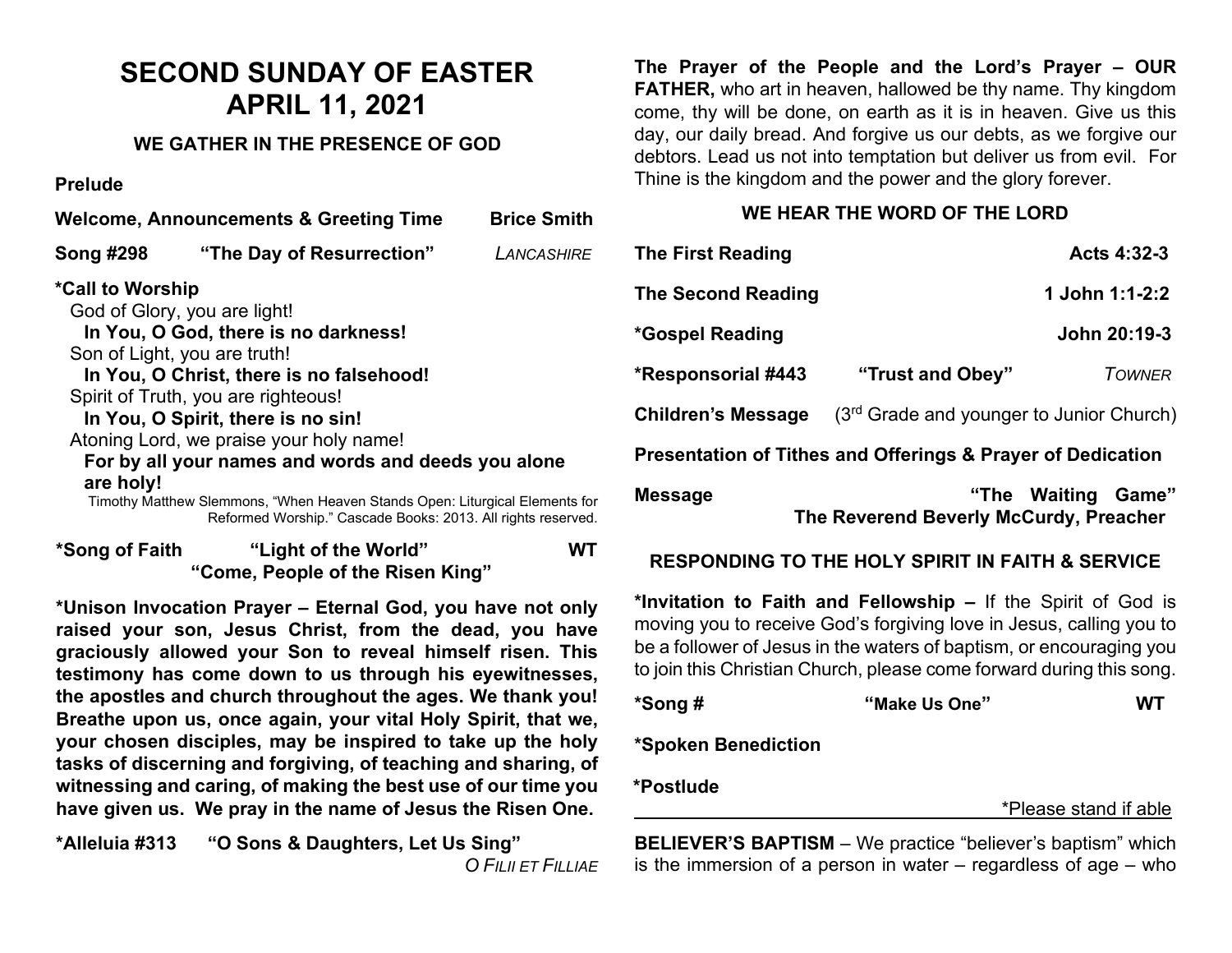# **SECOND SUNDAY OF EASTER APRIL 11, 2021**

#### **WE GATHER IN THE PRESENCE OF GOD**

#### **Prelude**

| <b>Welcome, Announcements &amp; Greeting Time</b> |                                                                                                                                                                                                                                                                                                                                                                                                                                                                                | <b>Brice Smith</b> |
|---------------------------------------------------|--------------------------------------------------------------------------------------------------------------------------------------------------------------------------------------------------------------------------------------------------------------------------------------------------------------------------------------------------------------------------------------------------------------------------------------------------------------------------------|--------------------|
| <b>Song #298</b>                                  | "The Day of Resurrection"                                                                                                                                                                                                                                                                                                                                                                                                                                                      | LANCASHIRE         |
| *Call to Worship<br>are holy!                     | God of Glory, you are light!<br>In You, O God, there is no darkness!<br>Son of Light, you are truth!<br>In You, O Christ, there is no falsehood!<br>Spirit of Truth, you are righteous!<br>In You, O Spirit, there is no sin!<br>Atoning Lord, we praise your holy name!<br>For by all your names and words and deeds you alone<br>Timothy Matthew Slemmons, "When Heaven Stands Open: Liturgical Elements for<br>Reformed Worship." Cascade Books: 2013. All rights reserved. |                    |
|                                                   |                                                                                                                                                                                                                                                                                                                                                                                                                                                                                |                    |

| *Song of Faith                   | "Light of the World" | <b>WT</b> |
|----------------------------------|----------------------|-----------|
| "Come, People of the Risen King" |                      |           |

**\*Unison Invocation Prayer – Eternal God, you have not only raised your son, Jesus Christ, from the dead, you have graciously allowed your Son to reveal himself risen. This testimony has come down to us through his eyewitnesses, the apostles and church throughout the ages. We thank you! Breathe upon us, once again, your vital Holy Spirit, that we, your chosen disciples, may be inspired to take up the holy tasks of discerning and forgiving, of teaching and sharing, of witnessing and caring, of making the best use of our time you have given us. We pray in the name of Jesus the Risen One.**

**\*Alleluia #313 "O Sons & Daughters, Let Us Sing"** *O FILII ET FILLIAE* **The Prayer of the People and the Lord's Prayer – OUR FATHER,** who art in heaven, hallowed be thy name. Thy kingdom come, thy will be done, on earth as it is in heaven. Give us this day, our daily bread. And forgive us our debts, as we forgive our debtors. Lead us not into temptation but deliver us from evil. For Thine is the kingdom and the power and the glory forever.

### **WE HEAR THE WORD OF THE LORD**

| <b>The First Reading</b>                                    |                                          | Acts 4:32-3    |  |  |  |
|-------------------------------------------------------------|------------------------------------------|----------------|--|--|--|
| <b>The Second Reading</b>                                   |                                          | 1 John 1:1-2:2 |  |  |  |
| *Gospel Reading                                             |                                          | John 20:19-3   |  |  |  |
| *Responsorial #443                                          | "Trust and Obey"                         | <b>TOWNER</b>  |  |  |  |
| <b>Children's Message</b>                                   | (3rd Grade and younger to Junior Church) |                |  |  |  |
| Presentation of Tithes and Offerings & Prayer of Dedication |                                          |                |  |  |  |

| <b>Message</b> |                                        | "The Waiting Game" |  |
|----------------|----------------------------------------|--------------------|--|
|                | The Reverend Beverly McCurdy, Preacher |                    |  |

## **RESPONDING TO THE HOLY SPIRIT IN FAITH & SERVICE**

**\*Invitation to Faith and Fellowship –** If the Spirit of God is moving you to receive God's forgiving love in Jesus, calling you to be a follower of Jesus in the waters of baptism, or encouraging you to join this Christian Church, please come forward during this song.

| *Song # | "Make Us One" | <b>WT</b> |
|---------|---------------|-----------|
|         |               |           |

**\*Spoken Benediction** 

**\*Postlude** 

\*Please stand if able

**BELIEVER'S BAPTISM** – We practice "believer's baptism" which is the immersion of a person in water – regardless of age – who